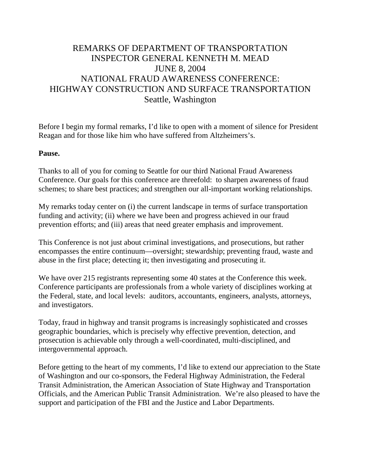# REMARKS OF DEPARTMENT OF TRANSPORTATION INSPECTOR GENERAL KENNETH M. MEAD JUNE 8, 2004 NATIONAL FRAUD AWARENESS CONFERENCE: HIGHWAY CONSTRUCTION AND SURFACE TRANSPORTATION Seattle, Washington

Before I begin my formal remarks, I'd like to open with a moment of silence for President Reagan and for those like him who have suffered from Altzheimers's.

#### **Pause.**

Thanks to all of you for coming to Seattle for our third National Fraud Awareness Conference. Our goals for this conference are threefold: to sharpen awareness of fraud schemes; to share best practices; and strengthen our all-important working relationships.

My remarks today center on (i) the current landscape in terms of surface transportation funding and activity; (ii) where we have been and progress achieved in our fraud prevention efforts; and (iii) areas that need greater emphasis and improvement.

This Conference is not just about criminal investigations, and prosecutions, but rather encompasses the entire continuum—oversight; stewardship; preventing fraud, waste and abuse in the first place; detecting it; then investigating and prosecuting it.

We have over 215 registrants representing some 40 states at the Conference this week. Conference participants are professionals from a whole variety of disciplines working at the Federal, state, and local levels: auditors, accountants, engineers, analysts, attorneys, and investigators.

Today, fraud in highway and transit programs is increasingly sophisticated and crosses geographic boundaries, which is precisely why effective prevention, detection, and prosecution is achievable only through a well-coordinated, multi-disciplined, and intergovernmental approach.

Before getting to the heart of my comments, I'd like to extend our appreciation to the State of Washington and our co-sponsors, the Federal Highway Administration, the Federal Transit Administration, the American Association of State Highway and Transportation Officials, and the American Public Transit Administration. We're also pleased to have the support and participation of the FBI and the Justice and Labor Departments.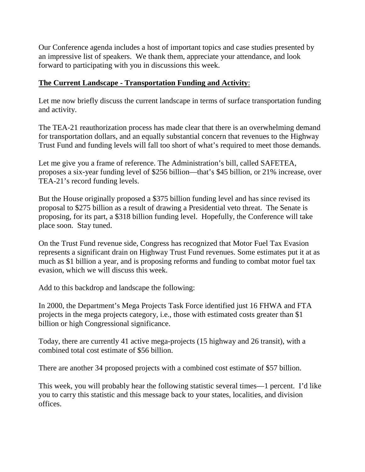Our Conference agenda includes a host of important topics and case studies presented by an impressive list of speakers. We thank them, appreciate your attendance, and look forward to participating with you in discussions this week.

## **The Current Landscape - Transportation Funding and Activity**:

Let me now briefly discuss the current landscape in terms of surface transportation funding and activity.

The TEA-21 reauthorization process has made clear that there is an overwhelming demand for transportation dollars, and an equally substantial concern that revenues to the Highway Trust Fund and funding levels will fall too short of what's required to meet those demands.

Let me give you a frame of reference. The Administration's bill, called SAFETEA, proposes a six-year funding level of \$256 billion—that's \$45 billion, or 21% increase, over TEA-21's record funding levels.

But the House originally proposed a \$375 billion funding level and has since revised its proposal to \$275 billion as a result of drawing a Presidential veto threat. The Senate is proposing, for its part, a \$318 billion funding level. Hopefully, the Conference will take place soon. Stay tuned.

On the Trust Fund revenue side, Congress has recognized that Motor Fuel Tax Evasion represents a significant drain on Highway Trust Fund revenues. Some estimates put it at as much as \$1 billion a year, and is proposing reforms and funding to combat motor fuel tax evasion, which we will discuss this week.

Add to this backdrop and landscape the following:

In 2000, the Department's Mega Projects Task Force identified just 16 FHWA and FTA projects in the mega projects category, i.e., those with estimated costs greater than \$1 billion or high Congressional significance.

Today, there are currently 41 active mega-projects (15 highway and 26 transit), with a combined total cost estimate of \$56 billion.

There are another 34 proposed projects with a combined cost estimate of \$57 billion.

This week, you will probably hear the following statistic several times—1 percent. I'd like you to carry this statistic and this message back to your states, localities, and division offices.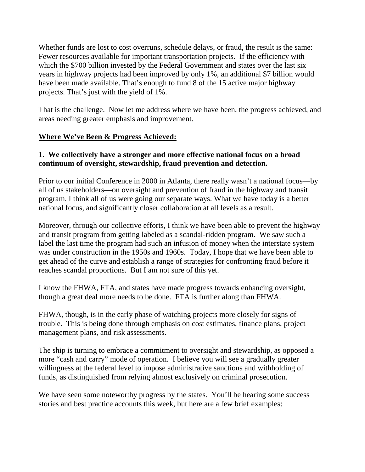Whether funds are lost to cost overruns, schedule delays, or fraud, the result is the same: Fewer resources available for important transportation projects. If the efficiency with which the \$700 billion invested by the Federal Government and states over the last six years in highway projects had been improved by only 1%, an additional \$7 billion would have been made available. That's enough to fund 8 of the 15 active major highway projects. That's just with the yield of 1%.

That is the challenge. Now let me address where we have been, the progress achieved, and areas needing greater emphasis and improvement.

#### **Where We've Been & Progress Achieved:**

#### **1. We collectively have a stronger and more effective national focus on a broad continuum of oversight, stewardship, fraud prevention and detection.**

Prior to our initial Conference in 2000 in Atlanta, there really wasn't a national focus—by all of us stakeholders—on oversight and prevention of fraud in the highway and transit program. I think all of us were going our separate ways. What we have today is a better national focus, and significantly closer collaboration at all levels as a result.

Moreover, through our collective efforts, I think we have been able to prevent the highway and transit program from getting labeled as a scandal-ridden program. We saw such a label the last time the program had such an infusion of money when the interstate system was under construction in the 1950s and 1960s. Today, I hope that we have been able to get ahead of the curve and establish a range of strategies for confronting fraud before it reaches scandal proportions. But I am not sure of this yet.

I know the FHWA, FTA, and states have made progress towards enhancing oversight, though a great deal more needs to be done. FTA is further along than FHWA.

FHWA, though, is in the early phase of watching projects more closely for signs of trouble. This is being done through emphasis on cost estimates, finance plans, project management plans, and risk assessments.

The ship is turning to embrace a commitment to oversight and stewardship, as opposed a more "cash and carry" mode of operation. I believe you will see a gradually greater willingness at the federal level to impose administrative sanctions and withholding of funds, as distinguished from relying almost exclusively on criminal prosecution.

We have seen some noteworthy progress by the states. You'll be hearing some success stories and best practice accounts this week, but here are a few brief examples: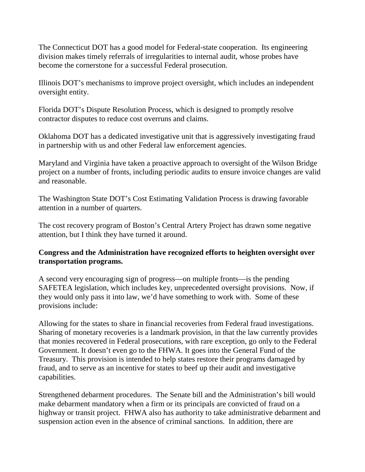The Connecticut DOT has a good model for Federal-state cooperation. Its engineering division makes timely referrals of irregularities to internal audit, whose probes have become the cornerstone for a successful Federal prosecution.

Illinois DOT's mechanisms to improve project oversight, which includes an independent oversight entity.

Florida DOT's Dispute Resolution Process, which is designed to promptly resolve contractor disputes to reduce cost overruns and claims.

Oklahoma DOT has a dedicated investigative unit that is aggressively investigating fraud in partnership with us and other Federal law enforcement agencies.

Maryland and Virginia have taken a proactive approach to oversight of the Wilson Bridge project on a number of fronts, including periodic audits to ensure invoice changes are valid and reasonable.

The Washington State DOT's Cost Estimating Validation Process is drawing favorable attention in a number of quarters.

The cost recovery program of Boston's Central Artery Project has drawn some negative attention, but I think they have turned it around.

#### **Congress and the Administration have recognized efforts to heighten oversight over transportation programs.**

A second very encouraging sign of progress—on multiple fronts—is the pending SAFETEA legislation, which includes key, unprecedented oversight provisions. Now, if they would only pass it into law, we'd have something to work with. Some of these provisions include:

Allowing for the states to share in financial recoveries from Federal fraud investigations. Sharing of monetary recoveries is a landmark provision, in that the law currently provides that monies recovered in Federal prosecutions, with rare exception, go only to the Federal Government. It doesn't even go to the FHWA. It goes into the General Fund of the Treasury. This provision is intended to help states restore their programs damaged by fraud, and to serve as an incentive for states to beef up their audit and investigative capabilities.

Strengthened debarment procedures. The Senate bill and the Administration's bill would make debarment mandatory when a firm or its principals are convicted of fraud on a highway or transit project. FHWA also has authority to take administrative debarment and suspension action even in the absence of criminal sanctions. In addition, there are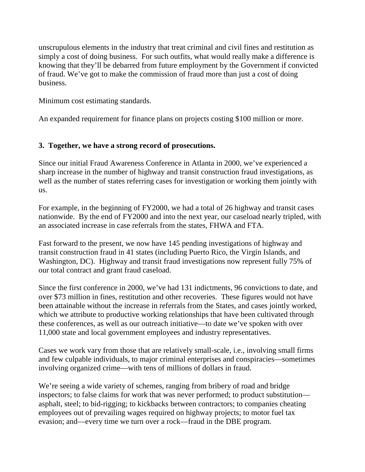unscrupulous elements in the industry that treat criminal and civil fines and restitution as simply a cost of doing business. For such outfits, what would really make a difference is knowing that they'll be debarred from future employment by the Government if convicted of fraud. We've got to make the commission of fraud more than just a cost of doing business.

Minimum cost estimating standards.

An expanded requirement for finance plans on projects costing \$100 million or more.

## **3. Together, we have a strong record of prosecutions.**

Since our initial Fraud Awareness Conference in Atlanta in 2000, we've experienced a sharp increase in the number of highway and transit construction fraud investigations, as well as the number of states referring cases for investigation or working them jointly with us.

For example, in the beginning of FY2000, we had a total of 26 highway and transit cases nationwide. By the end of FY2000 and into the next year, our caseload nearly tripled, with an associated increase in case referrals from the states, FHWA and FTA.

Fast forward to the present, we now have 145 pending investigations of highway and transit construction fraud in 41 states (including Puerto Rico, the Virgin Islands, and Washington, DC). Highway and transit fraud investigations now represent fully 75% of our total contract and grant fraud caseload.

Since the first conference in 2000, we've had 131 indictments, 96 convictions to date, and over \$73 million in fines, restitution and other recoveries. These figures would not have been attainable without the increase in referrals from the States, and cases jointly worked, which we attribute to productive working relationships that have been cultivated through these conferences, as well as our outreach initiative—to date we've spoken with over 11,000 state and local government employees and industry representatives.

Cases we work vary from those that are relatively small-scale, i.e., involving small firms and few culpable individuals, to major criminal enterprises and conspiracies—sometimes involving organized crime—with tens of millions of dollars in fraud.

We're seeing a wide variety of schemes, ranging from bribery of road and bridge inspectors; to false claims for work that was never performed; to product substitution asphalt, steel; to bid-rigging; to kickbacks between contractors; to companies cheating employees out of prevailing wages required on highway projects; to motor fuel tax evasion; and—every time we turn over a rock—fraud in the DBE program.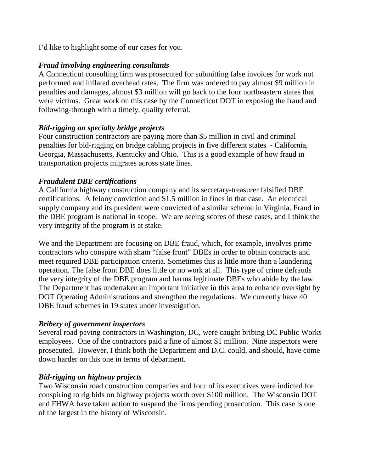I'd like to highlight some of our cases for you.

#### *Fraud involving engineering consultants*

A Connecticut consulting firm was prosecuted for submitting false invoices for work not performed and inflated overhead rates. The firm was ordered to pay almost \$9 million in penalties and damages, almost \$3 million will go back to the four northeastern states that were victims. Great work on this case by the Connecticut DOT in exposing the fraud and following-through with a timely, quality referral.

#### *Bid-rigging on specialty bridge projects*

Four construction contractors are paying more than \$5 million in civil and criminal penalties for bid-rigging on bridge cabling projects in five different states - California, Georgia, Massachusetts, Kentucky and Ohio. This is a good example of how fraud in transportation projects migrates across state lines.

#### *Fraudulent DBE certifications*

A California highway construction company and its secretary-treasurer falsified DBE certifications. A felony conviction and \$1.5 million in fines in that case. An electrical supply company and its president were convicted of a similar scheme in Virginia. Fraud in the DBE program is national in scope. We are seeing scores of these cases, and I think the very integrity of the program is at stake.

We and the Department are focusing on DBE fraud, which, for example, involves prime contractors who conspire with sham "false front" DBEs in order to obtain contracts and meet required DBE participation criteria. Sometimes this is little more than a laundering operation. The false front DBE does little or no work at all. This type of crime defrauds the very integrity of the DBE program and harms legitimate DBEs who abide by the law. The Department has undertaken an important initiative in this area to enhance oversight by DOT Operating Administrations and strengthen the regulations. We currently have 40 DBE fraud schemes in 19 states under investigation.

## *Bribery of government inspectors*

Several road paving contractors in Washington, DC, were caught bribing DC Public Works employees. One of the contractors paid a fine of almost \$1 million. Nine inspectors were prosecuted. However, I think both the Department and D.C. could, and should, have come down harder on this one in terms of debarment.

## *Bid-rigging on highway projects*

Two Wisconsin road construction companies and four of its executives were indicted for conspiring to rig bids on highway projects worth over \$100 million. The Wisconsin DOT and FHWA have taken action to suspend the firms pending prosecution. This case is one of the largest in the history of Wisconsin.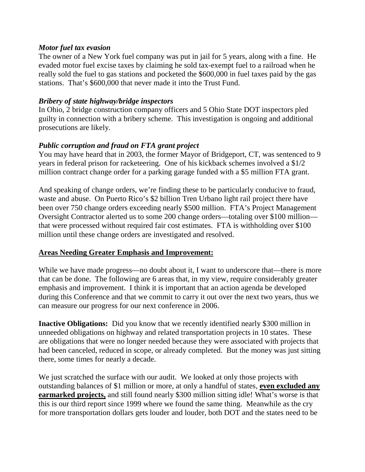#### *Motor fuel tax evasion*

The owner of a New York fuel company was put in jail for 5 years, along with a fine. He evaded motor fuel excise taxes by claiming he sold tax-exempt fuel to a railroad when he really sold the fuel to gas stations and pocketed the \$600,000 in fuel taxes paid by the gas stations. That's \$600,000 that never made it into the Trust Fund.

#### *Bribery of state highway/bridge inspectors*

In Ohio, 2 bridge construction company officers and 5 Ohio State DOT inspectors pled guilty in connection with a bribery scheme. This investigation is ongoing and additional prosecutions are likely.

#### *Public corruption and fraud on FTA grant project*

You may have heard that in 2003, the former Mayor of Bridgeport, CT, was sentenced to 9 years in federal prison for racketeering. One of his kickback schemes involved a \$1/2 million contract change order for a parking garage funded with a \$5 million FTA grant.

And speaking of change orders, we're finding these to be particularly conducive to fraud, waste and abuse. On Puerto Rico's \$2 billion Tren Urbano light rail project there have been over 750 change orders exceeding nearly \$500 million. FTA's Project Management Oversight Contractor alerted us to some 200 change orders—totaling over \$100 million that were processed without required fair cost estimates. FTA is withholding over \$100 million until these change orders are investigated and resolved.

#### **Areas Needing Greater Emphasis and Improvement:**

While we have made progress—no doubt about it, I want to underscore that—there is more that can be done. The following are 6 areas that, in my view, require considerably greater emphasis and improvement. I think it is important that an action agenda be developed during this Conference and that we commit to carry it out over the next two years, thus we can measure our progress for our next conference in 2006.

**Inactive Obligations:** Did you know that we recently identified nearly \$300 million in unneeded obligations on highway and related transportation projects in 10 states. These are obligations that were no longer needed because they were associated with projects that had been canceled, reduced in scope, or already completed. But the money was just sitting there, some times for nearly a decade.

We just scratched the surface with our audit. We looked at only those projects with outstanding balances of \$1 million or more, at only a handful of states, **even excluded any earmarked projects,** and still found nearly \$300 million sitting idle! What's worse is that this is our third report since 1999 where we found the same thing. Meanwhile as the cry for more transportation dollars gets louder and louder, both DOT and the states need to be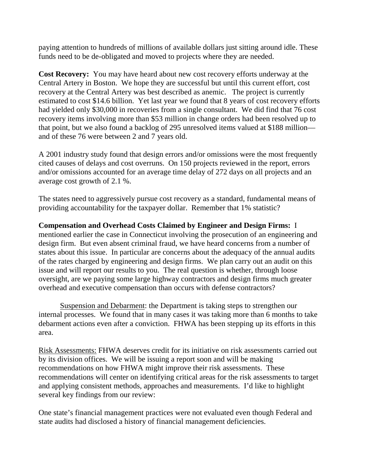paying attention to hundreds of millions of available dollars just sitting around idle. These funds need to be de-obligated and moved to projects where they are needed.

**Cost Recovery:** You may have heard about new cost recovery efforts underway at the Central Artery in Boston. We hope they are successful but until this current effort, cost recovery at the Central Artery was best described as anemic. The project is currently estimated to cost \$14.6 billion. Yet last year we found that 8 years of cost recovery efforts had yielded only \$30,000 in recoveries from a single consultant. We did find that 76 cost recovery items involving more than \$53 million in change orders had been resolved up to that point, but we also found a backlog of 295 unresolved items valued at \$188 million and of these 76 were between 2 and 7 years old.

A 2001 industry study found that design errors and/or omissions were the most frequently cited causes of delays and cost overruns. On 150 projects reviewed in the report, errors and/or omissions accounted for an average time delay of 272 days on all projects and an average cost growth of 2.1 %.

The states need to aggressively pursue cost recovery as a standard, fundamental means of providing accountability for the taxpayer dollar. Remember that 1% statistic?

**Compensation and Overhead Costs Claimed by Engineer and Design Firms:** I mentioned earlier the case in Connecticut involving the prosecution of an engineering and design firm. But even absent criminal fraud, we have heard concerns from a number of states about this issue. In particular are concerns about the adequacy of the annual audits of the rates charged by engineering and design firms. We plan carry out an audit on this issue and will report our results to you. The real question is whether, through loose oversight, are we paying some large highway contractors and design firms much greater overhead and executive compensation than occurs with defense contractors?

Suspension and Debarment: the Department is taking steps to strengthen our internal processes. We found that in many cases it was taking more than 6 months to take debarment actions even after a conviction. FHWA has been stepping up its efforts in this area.

Risk Assessments: FHWA deserves credit for its initiative on risk assessments carried out by its division offices. We will be issuing a report soon and will be making recommendations on how FHWA might improve their risk assessments. These recommendations will center on identifying critical areas for the risk assessments to target and applying consistent methods, approaches and measurements. I'd like to highlight several key findings from our review:

One state's financial management practices were not evaluated even though Federal and state audits had disclosed a history of financial management deficiencies.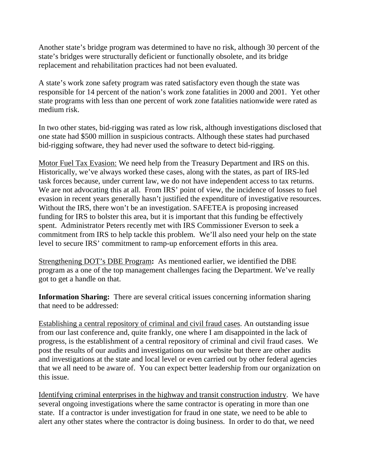Another state's bridge program was determined to have no risk, although 30 percent of the state's bridges were structurally deficient or functionally obsolete, and its bridge replacement and rehabilitation practices had not been evaluated.

A state's work zone safety program was rated satisfactory even though the state was responsible for 14 percent of the nation's work zone fatalities in 2000 and 2001. Yet other state programs with less than one percent of work zone fatalities nationwide were rated as medium risk.

In two other states, bid-rigging was rated as low risk, although investigations disclosed that one state had \$500 million in suspicious contracts. Although these states had purchased bid-rigging software, they had never used the software to detect bid-rigging.

Motor Fuel Tax Evasion: We need help from the Treasury Department and IRS on this. Historically, we've always worked these cases, along with the states, as part of IRS-led task forces because, under current law, we do not have independent access to tax returns. We are not advocating this at all. From IRS' point of view, the incidence of losses to fuel evasion in recent years generally hasn't justified the expenditure of investigative resources. Without the IRS, there won't be an investigation. SAFETEA is proposing increased funding for IRS to bolster this area, but it is important that this funding be effectively spent. Administrator Peters recently met with IRS Commissioner Everson to seek a commitment from IRS to help tackle this problem. We'll also need your help on the state level to secure IRS' commitment to ramp-up enforcement efforts in this area.

Strengthening DOT's DBE Program**:** As mentioned earlier, we identified the DBE program as a one of the top management challenges facing the Department. We've really got to get a handle on that.

**Information Sharing:** There are several critical issues concerning information sharing that need to be addressed:

Establishing a central repository of criminal and civil fraud cases. An outstanding issue from our last conference and, quite frankly, one where I am disappointed in the lack of progress, is the establishment of a central repository of criminal and civil fraud cases. We post the results of our audits and investigations on our website but there are other audits and investigations at the state and local level or even carried out by other federal agencies that we all need to be aware of. You can expect better leadership from our organization on this issue.

Identifying criminal enterprises in the highway and transit construction industry. We have several ongoing investigations where the same contractor is operating in more than one state. If a contractor is under investigation for fraud in one state, we need to be able to alert any other states where the contractor is doing business. In order to do that, we need